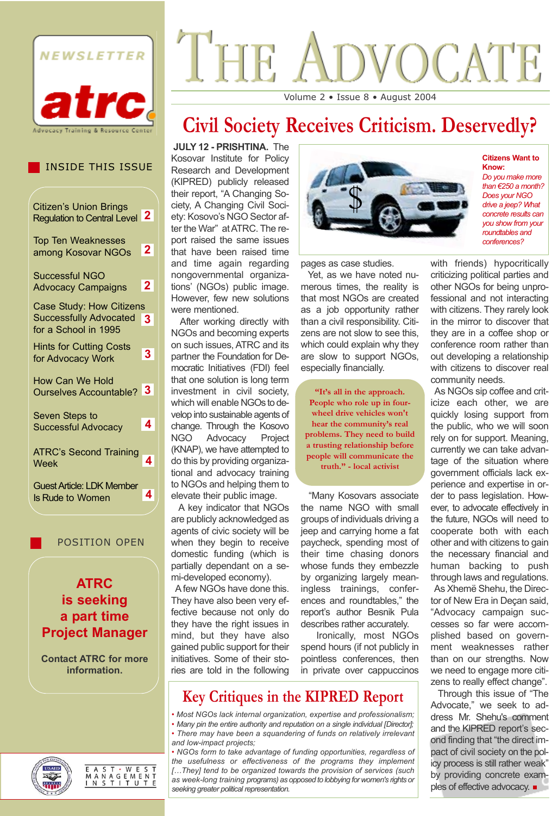

# VOCATE THE Volume 2 • Issue 8 • August 2004

# **Civil Society Receives Criticism. Deservedly?**

**JULY 12 - PRISHTINA.** The Kosovar Institute for Policy Research and Development (KIPRED) publicly released their report, "A Changing Society, A Changing Civil Society: Kosovo's NGO Sector after the War" at ATRC. The report raised the same issues that have been raised time and time again regarding nongovernmental organizations' (NGOs) public image. However, few new solutions were mentioned.

After working directly with NGOs and becoming experts on such issues, ATRC and its partner the Foundation for Democratic Initiatives (FDI) feel that one solution is long term investment in civil society, which will enable NGOs to develop into sustainable agents of change. Through the Kosovo NGO Advocacy Project (KNAP), we have attempted to do this by providing organizational and advocacy training to NGOs and helping them to elevate their public image.

A key indicator that NGOs are publicly acknowledged as agents of civic society will be when they begin to receive domestic funding (which is partially dependant on a semi-developed economy).

A few NGOs have done this. They have also been very effective because not only do they have the right issues in mind, but they have also gained public support for their initiatives. Some of their stories are told in the following



**Citizens Want to Know:**

*Do you make more than €250 a month? Does your NGO drive a jeep? What concrete results can you show from your roundtables and conferences?* 

pages as case studies.

Yet, as we have noted numerous times, the reality is that most NGOs are created as a job opportunity rather than a civil responsibility. Citizens are not slow to see this, which could explain why they are slow to support NGOs, especially financially.

**"It's all in the approach. People who role up in fourwheel drive vehicles won't hear the community's real problems. They need to build a trusting relationship before people will communicate the truth." - local activist**

"Many Kosovars associate the name NGO with small groups of individuals driving a jeep and carrying home a fat paycheck, spending most of their time chasing donors whose funds they embezzle by organizing largely meaningless trainings, conferences and roundtables," the report's author Besnik Pula describes rather accurately.

Ironically, most NGOs spend hours (if not publicly in pointless conferences, then in private over cappuccinos

# **Key Critiques in the KIPRED Report**

- *Most NGOs lack internal organization, expertise and professionalism; • Many pin the entire authority and reputation on a single individual [Director]; • There may have been a squandering of funds on relatively irrelevant and low-impact projects;*
- *NGOs form to take advantage of funding opportunities, regardless of the usefulness or effectiveness of the programs they implement […They] tend to be organized towards the provision of services (such as week-long training programs) as opposed to lobbying for women's rights or seeking greater political representation.*

with friends) hypocritically criticizing political parties and other NGOs for being unprofessional and not interacting with citizens. They rarely look in the mirror to discover that they are in a coffee shop or conference room rather than out developing a relationship with citizens to discover real community needs.

As NGOs sip coffee and criticize each other, we are quickly losing support from the public, who we will soon rely on for support. Meaning, currently we can take advantage of the situation where government officials lack experience and expertise in order to pass legislation. However, to advocate effectively in the future, NGOs will need to cooperate both with each other and with citizens to gain the necessary financial and human backing to push through laws and regulations. As Xhemë Shehu, the Director of New Era in Deçan said, "Advocacy campaign successes so far were accomplished based on government weaknesses rather than on our strengths. Now we need to engage more citizens to really effect change".

Through this issue of "The Advocate," we seek to address Mr. Shehu's comment and the KIPRED report's second finding that "the direct impact of civil society on the policy process is still rather weak" by providing concrete examples of effective advocacy. ■

# INSIDE THIS ISSUE

| <b>Citizen's Union Brings</b><br><b>Regulation to Central Level</b>               | 2              |
|-----------------------------------------------------------------------------------|----------------|
| <b>Top Ten Weaknesses</b><br>among Kosovar NGOs                                   | 2 <sup>1</sup> |
| Successful NGO<br><b>Advocacy Campaigns</b>                                       | $\mathbf{2}$   |
| Case Study: How Citizens<br><b>Successfully Advocated</b><br>for a School in 1995 | 3              |
| <b>Hints for Cutting Costs</b><br>for Advocacy Work                               | 3.             |
| <b>How Can We Hold</b><br>Ourselves Accountable? 3                                |                |
| Seven Steps to<br><b>Successful Advocacy</b>                                      | 4              |
| <b>ATRC's Second Training</b><br>Week                                             |                |
| <b>Guest Article: LDK Member</b><br><b>Is Rude to Women</b>                       | 4              |
|                                                                                   |                |

POSITION OPEN

**ATRC is seeking a part time Project Manager**

**Contact ATRC for more information.**



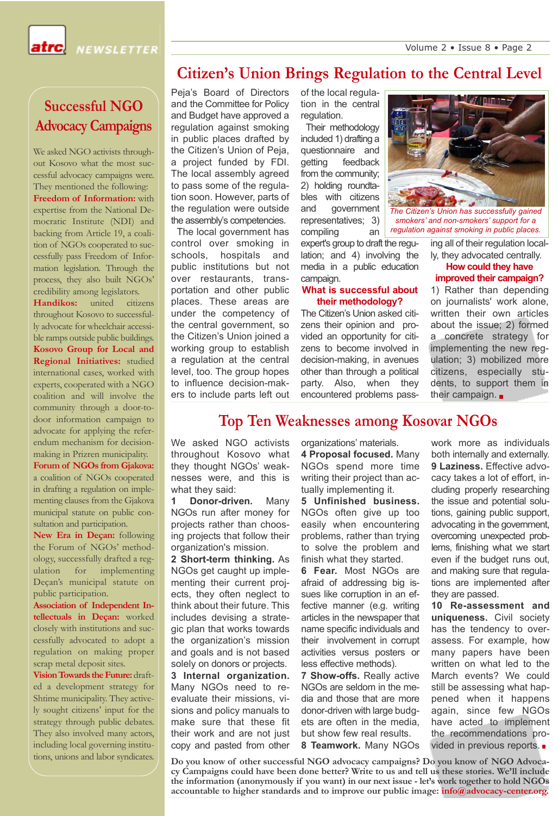**NEWSLETTER** 

# **Citizen's Union Brings Regulation to the Central Level**

**Successful NGO Advocacy Campaigns**

We asked NGO activists throughout Kosovo what the most successful advocacy campaigns were. They mentioned the following: **Freedom of Information:** with expertise from the National Democratic Institute (NDI) and backing from Article 19, a coalition of NGOs cooperated to successfully pass Freedom of Information legislation. Through the process, they also built NGOs' credibility among legislators.

**Handikos:** united citizens throughout Kosovo to successfully advocate for wheelchair accessible ramps outside public buildings. **Kosovo Group for Local and Regional Initiatives:** studied international cases, worked with experts, cooperated with a NGO coalition and will involve the community through a door-todoor information campaign to advocate for applying the referendum mechanism for decisionmaking in Prizren municipality.

**Forum of NGOs from Gjakova:** a coalition of NGOs cooperated in drafting a regulation on implementing clauses from the Gjakova municipal statute on public consultation and participation.

**New Era in Deçan:** following the Forum of NGOs' methodology, successfully drafted a regulation for implementing Deçan's municipal statute on public participation.

**Association of Independent Intellectuals in Deçan:** worked closely with institutions and successfully advocated to adopt a regulation on making proper scrap metal deposit sites.

**Vision Towards the Future:**drafted a development strategy for Shtime municipality. They actively sought citizens' input for the strategy through public debates. They also involved many actors, including local governing institutions, unions and labor syndicates. Peja's Board of Directors and the Committee for Policy and Budget have approved a regulation against smoking in public places drafted by the Citizen's Union of Peja, a project funded by FDI. The local assembly agreed to pass some of the regulation soon. However, parts of the regulation were outside the assembly's competencies.

The local government has control over smoking in schools, hospitals and public institutions but not over restaurants, transportation and other public places. These areas are under the competency of the central government, so the Citizen's Union joined a working group to establish a regulation at the central level, too. The group hopes to influence decision-makers to include parts left out

of the local regulation in the central regulation.

Their methodology included 1) drafting a questionnaire and getting feedback from the community; 2) holding roundtables with citizens and government representatives; 3) compiling an

expert's group to draft the regulation; and 4) involving the media in a public education campaign.

#### **What is successful about their methodology?**

The Citizen's Union asked citizens their opinion and provided an opportunity for citizens to become involved in decision-making, in avenues other than through a political party. Also, when they encountered problems pass-



*smokers' and non-smokers' support for a regulation against smoking in public places.*

ing all of their regulation locally, they advocated centrally.

#### **How could they have improved their campaign?**

1) Rather than depending on journalists' work alone, written their own articles about the issue; 2) formed a concrete strategy for implementing the new regulation; 3) mobilized more citizens, especially students, to support them in their campaign.  $\blacksquare$ 

## **Top Ten Weaknesses among Kosovar NGOs**

We asked NGO activists throughout Kosovo what they thought NGOs' weaknesses were, and this is what they said:

**1 Donor-driven.** Many NGOs run after money for projects rather than choosing projects that follow their organization's mission.

**2 Short-term thinking.** As NGOs get caught up implementing their current projects, they often neglect to think about their future. This includes devising a strategic plan that works towards the organization's mission and goals and is not based solely on donors or projects.

**3 Internal organization.** Many NGOs need to reevaluate their missions, visions and policy manuals to make sure that these fit their work and are not just copy and pasted from other organizations' materials.

**4 Proposal focused.** Many NGOs spend more time writing their project than actually implementing it.

**5 Unfinished business.** NGOs often give up too easily when encountering problems, rather than trying to solve the problem and finish what they started.

**6 Fear.** Most NGOs are afraid of addressing big issues like corruption in an effective manner (e.g. writing articles in the newspaper that name specific individuals and their involvement in corrupt activities versus posters or less effective methods).

**7 Show-offs.** Really active NGOs are seldom in the media and those that are more donor-driven with large budgets are often in the media, but show few real results. **8 Teamwork.** Many NGOs work more as individuals both internally and externally. **9 Laziness.** Effective advocacy takes a lot of effort, including properly researching the issue and potential solutions, gaining public support, advocating in the government, overcoming unexpected problems, finishing what we start even if the budget runs out, and making sure that regulations are implemented after they are passed.

**10 Re-assessment and uniqueness.** Civil society has the tendency to overassess. For example, how many papers have been written on what led to the March events? We could still be assessing what happened when it happens again, since few NGOs have acted to implement the recommendations provided in previous reports.

**Do you know of other successful NGO advocacy campaigns? Do you know of NGO Advocacy Campaigns could have been done better? Write to us and tell us these stories. We'll include the information (anonymously if you want) in our next issue - let's work together to hold NGOs accountable to higher standards and to improve our public image: info@advocacy-center.org.**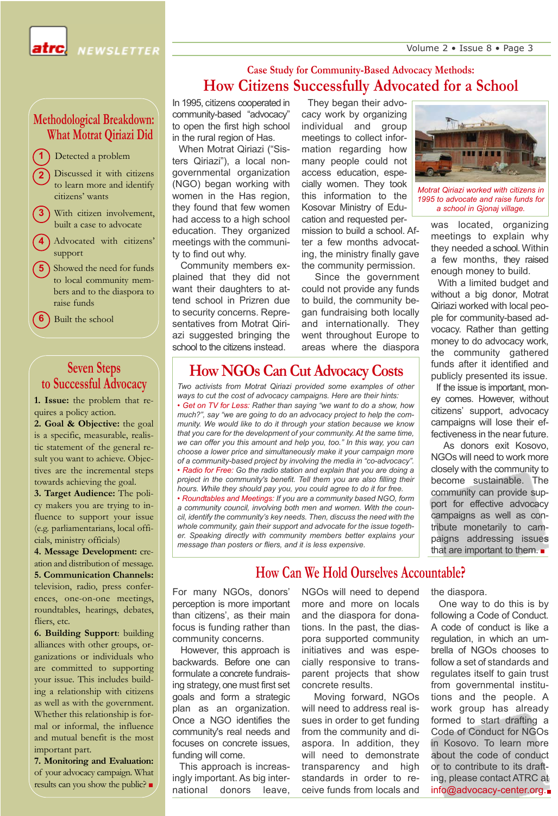Volume 2 • Issue 8 • Page 3

NEWSLETTER

### **Methodological Breakdown: What Motrat Qiriazi Did**

- Detected a problem **1**
- **2** Discussed it with citizens to learn more and identify citizens' wants
- **3** With citizen involvement. built a case to advocate
- **4** Advocated with citizens' support
- **5** Showed the need for funds to local community members and to the diaspora to raise funds
- **6** Built the school

## **Seven Steps to Successful Advocacy**

**1. Issue:** the problem that requires a policy action.

**2. Goal & Objective:** the goal is a specific, measurable, realistic statement of the general result you want to achieve. Objectives are the incremental steps towards achieving the goal.

**3. Target Audience:** The policy makers you are trying to influence to support your issue (e.g. parliamentarians, local officials, ministry officials)

**4. Message Development:** creation and distribution of message. **5. Communication Channels:** television, radio, press conferences, one-on-one meetings, roundtables, hearings, debates, fliers, etc.

**6. Building Support**: building alliances with other groups, organizations or individuals who are committed to supporting your issue. This includes building a relationship with citizens as well as with the government. Whether this relationship is formal or informal, the influence and mutual benefit is the most important part.

**7. Monitoring and Evaluation:** of your advocacy campaign. What results can you show the public?

## **Case Study for Community-Based Advocacy Methods: How Citizens Successfully Advocated for a School**

In 1995, citizens cooperated in community-based "advocacy" to open the first high school in the rural region of Has.

When Motrat Qiriazi ("Sisters Qiriazi"), a local nongovernmental organization (NGO) began working with women in the Has region, they found that few women had access to a high school education. They organized meetings with the community to find out why.

Community members explained that they did not want their daughters to attend school in Prizren due to security concerns. Representatives from Motrat Qiriazi suggested bringing the school to the citizens instead.

They began their advocacy work by organizing individual and group meetings to collect information regarding how many people could not access education, especially women. They took this information to the Kosovar Ministry of Education and requested permission to build a school. After a few months advocating, the ministry finally gave the community permission.

Since the government could not provide any funds to build, the community began fundraising both locally and internationally. They went throughout Europe to areas where the diaspora

# **How NGOs Can Cut Advocacy Costs**

*Two activists from Motrat Qiriazi provided some examples of other ways to cut the cost of advocacy campaigns. Here are their hints: • Get on TV for Less: Rather than saying "we want to do a show, how*

*much?", say "we are going to do an advocacy project to help the community. We would like to do it through your station because we know that you care for the development of your community. At the same time, we can offer you this amount and help you, too." In this way, you can choose a lower price and simultaneously make it your campaign more of a community-based project by involving the media in "co-advocacy". • Radio for Free: Go the radio station and explain that you are doing a project in the community's benefit. Tell them you are also filling their hours. While they should pay you, you could agree to do it for free. • Roundtables and Meetings: If you are a community based NGO, form a community council, involving both men and women. With the council, identify the community's key needs. Then, discuss the need with the whole community, gain their support and advocate for the issue together. Speaking directly with community members better explains your message than posters or fliers, and it is less expensive.* 



*Motrat Qiriazi worked with citizens in 1995 to advocate and raise funds for a school in Gjonaj village.*

was located, organizing meetings to explain why they needed a school. Within a few months, they raised enough money to build.

With a limited budget and without a big donor, Motrat Qiriazi worked with local people for community-based advocacy. Rather than getting money to do advocacy work, the community gathered funds after it identified and publicly presented its issue.

If the issue is important, money comes. However, without citizens' support, advocacy campaigns will lose their effectiveness in the near future.

As donors exit Kosovo, NGOs will need to work more closely with the community to become sustainable. The community can provide support for effective advocacy campaigns as well as contribute monetarily to campaigns addressing issues that are important to them.

# **How Can We Hold Ourselves Accountable?**

For many NGOs, donors' perception is more important than citizens', as their main focus is funding rather than community concerns.

However, this approach is backwards. Before one can formulate a concrete fundraising strategy, one must first set goals and form a strategic plan as an organization. Once a NGO identifies the community's real needs and focuses on concrete issues, funding will come.

This approach is increasingly important. As big international donors leave,

NGOs will need to depend more and more on locals and the diaspora for donations. In the past, the diaspora supported community initiatives and was especially responsive to transparent projects that show concrete results.

Moving forward, NGOs will need to address real issues in order to get funding from the community and diaspora. In addition, they will need to demonstrate transparency and high standards in order to receive funds from locals and

the diaspora.

One way to do this is by following a Code of Conduct. A code of conduct is like a regulation, in which an umbrella of NGOs chooses to follow a set of standards and regulates itself to gain trust from governmental institutions and the people. A work group has already formed to start drafting a Code of Conduct for NGOs in Kosovo. To learn more about the code of conduct or to contribute to its drafting, please contact ATRC at info@advocacy-center.org.■